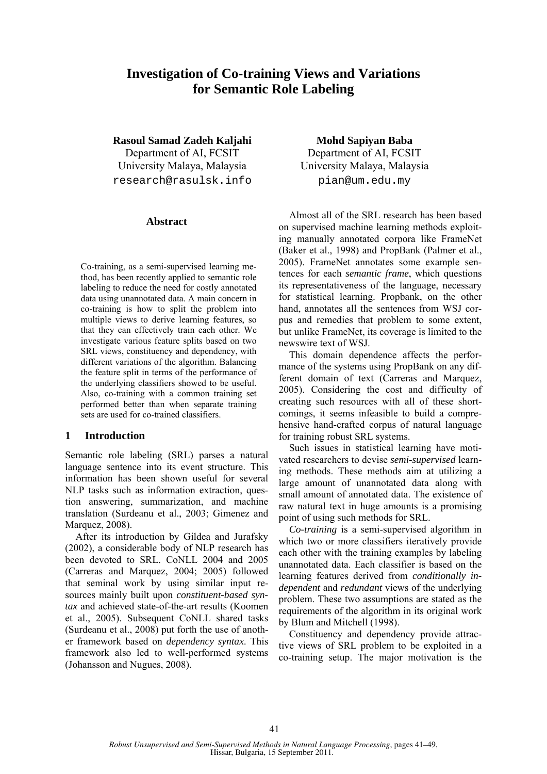# **Investigation of Co-training Views and Variations for Semantic Role Labeling**

**Rasoul Samad Zadeh Kaljahi** 

Department of AI, FCSIT University Malaya, Malaysia research@rasulsk.info

### **Abstract**

Co-training, as a semi-supervised learning method, has been recently applied to semantic role labeling to reduce the need for costly annotated data using unannotated data. A main concern in co-training is how to split the problem into multiple views to derive learning features, so that they can effectively train each other. We investigate various feature splits based on two SRL views, constituency and dependency, with different variations of the algorithm. Balancing the feature split in terms of the performance of the underlying classifiers showed to be useful. Also, co-training with a common training set performed better than when separate training sets are used for co-trained classifiers.

# **1 Introduction**

Semantic role labeling (SRL) parses a natural language sentence into its event structure. This information has been shown useful for several NLP tasks such as information extraction, question answering, summarization, and machine translation (Surdeanu et al., 2003; Gimenez and Marquez, 2008).

After its introduction by Gildea and Jurafsky (2002), a considerable body of NLP research has been devoted to SRL. CoNLL 2004 and 2005 (Carreras and Marquez, 2004; 2005) followed that seminal work by using similar input resources mainly built upon *constituent-based syntax* and achieved state-of-the-art results (Koomen et al., 2005). Subsequent CoNLL shared tasks (Surdeanu et al., 2008) put forth the use of another framework based on *dependency syntax*. This framework also led to well-performed systems (Johansson and Nugues, 2008).

**Mohd Sapiyan Baba**  Department of AI, FCSIT University Malaya, Malaysia pian@um.edu.my

Almost all of the SRL research has been based on supervised machine learning methods exploiting manually annotated corpora like FrameNet (Baker et al., 1998) and PropBank (Palmer et al., 2005). FrameNet annotates some example sentences for each *semantic frame*, which questions its representativeness of the language, necessary for statistical learning. Propbank, on the other hand, annotates all the sentences from WSJ corpus and remedies that problem to some extent, but unlike FrameNet, its coverage is limited to the newswire text of WSJ.

This domain dependence affects the performance of the systems using PropBank on any different domain of text (Carreras and Marquez, 2005). Considering the cost and difficulty of creating such resources with all of these shortcomings, it seems infeasible to build a comprehensive hand-crafted corpus of natural language for training robust SRL systems.

Such issues in statistical learning have motivated researchers to devise *semi-supervised* learning methods. These methods aim at utilizing a large amount of unannotated data along with small amount of annotated data. The existence of raw natural text in huge amounts is a promising point of using such methods for SRL.

*Co-training* is a semi-supervised algorithm in which two or more classifiers iteratively provide each other with the training examples by labeling unannotated data. Each classifier is based on the learning features derived from *conditionally independent* and *redundant* views of the underlying problem. These two assumptions are stated as the requirements of the algorithm in its original work by Blum and Mitchell (1998).

Constituency and dependency provide attractive views of SRL problem to be exploited in a co-training setup. The major motivation is the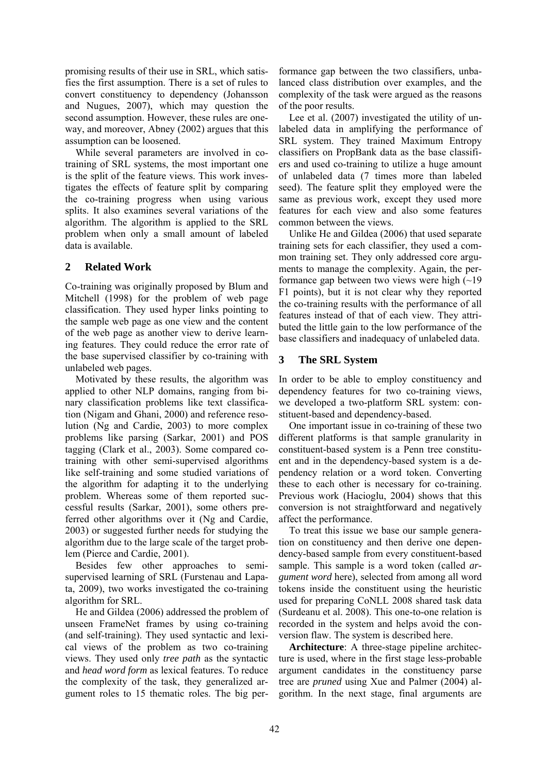promising results of their use in SRL, which satisfies the first assumption. There is a set of rules to convert constituency to dependency (Johansson and Nugues, 2007), which may question the second assumption. However, these rules are oneway, and moreover, Abney (2002) argues that this assumption can be loosened.

While several parameters are involved in cotraining of SRL systems, the most important one is the split of the feature views. This work investigates the effects of feature split by comparing the co-training progress when using various splits. It also examines several variations of the algorithm. The algorithm is applied to the SRL problem when only a small amount of labeled data is available.

# **2 Related Work**

Co-training was originally proposed by Blum and Mitchell (1998) for the problem of web page classification. They used hyper links pointing to the sample web page as one view and the content of the web page as another view to derive learning features. They could reduce the error rate of the base supervised classifier by co-training with unlabeled web pages.

Motivated by these results, the algorithm was applied to other NLP domains, ranging from binary classification problems like text classification (Nigam and Ghani, 2000) and reference resolution (Ng and Cardie, 2003) to more complex problems like parsing (Sarkar, 2001) and POS tagging (Clark et al., 2003). Some compared cotraining with other semi-supervised algorithms like self-training and some studied variations of the algorithm for adapting it to the underlying problem. Whereas some of them reported successful results (Sarkar, 2001), some others preferred other algorithms over it (Ng and Cardie, 2003) or suggested further needs for studying the algorithm due to the large scale of the target problem (Pierce and Cardie, 2001).

Besides few other approaches to semisupervised learning of SRL (Furstenau and Lapata, 2009), two works investigated the co-training algorithm for SRL.

He and Gildea (2006) addressed the problem of unseen FrameNet frames by using co-training (and self-training). They used syntactic and lexical views of the problem as two co-training views. They used only *tree path* as the syntactic and *head word form* as lexical features. To reduce the complexity of the task, they generalized argument roles to 15 thematic roles. The big per-

formance gap between the two classifiers, unbalanced class distribution over examples, and the complexity of the task were argued as the reasons of the poor results.

Lee et al. (2007) investigated the utility of unlabeled data in amplifying the performance of SRL system. They trained Maximum Entropy classifiers on PropBank data as the base classifiers and used co-training to utilize a huge amount of unlabeled data (7 times more than labeled seed). The feature split they employed were the same as previous work, except they used more features for each view and also some features common between the views.

Unlike He and Gildea (2006) that used separate training sets for each classifier, they used a common training set. They only addressed core arguments to manage the complexity. Again, the performance gap between two views were high  $(-19)$ F1 points), but it is not clear why they reported the co-training results with the performance of all features instead of that of each view. They attributed the little gain to the low performance of the base classifiers and inadequacy of unlabeled data.

# **3 The SRL System**

In order to be able to employ constituency and dependency features for two co-training views, we developed a two-platform SRL system: constituent-based and dependency-based.

One important issue in co-training of these two different platforms is that sample granularity in constituent-based system is a Penn tree constituent and in the dependency-based system is a dependency relation or a word token. Converting these to each other is necessary for co-training. Previous work (Hacioglu, 2004) shows that this conversion is not straightforward and negatively affect the performance.

To treat this issue we base our sample generation on constituency and then derive one dependency-based sample from every constituent-based sample. This sample is a word token (called *argument word* here), selected from among all word tokens inside the constituent using the heuristic used for preparing CoNLL 2008 shared task data (Surdeanu et al. 2008). This one-to-one relation is recorded in the system and helps avoid the conversion flaw. The system is described here.

**Architecture**: A three-stage pipeline architecture is used, where in the first stage less-probable argument candidates in the constituency parse tree are *pruned* using Xue and Palmer (2004) algorithm. In the next stage, final arguments are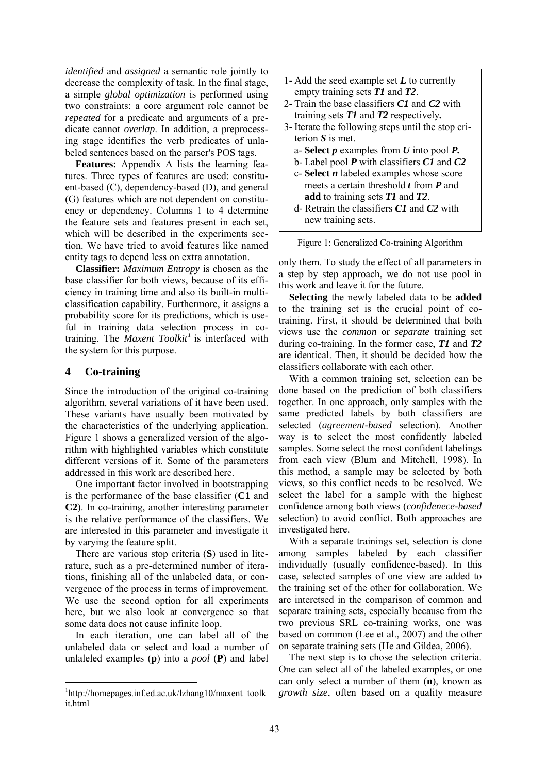*identified* and *assigned* a semantic role jointly to decrease the complexity of task. In the final stage, a simple *global optimization* is performed using two constraints: a core argument role cannot be *repeated* for a predicate and arguments of a predicate cannot *overlap*. In addition, a preprocessing stage identifies the verb predicates of unlabeled sentences based on the parser's POS tags.

**Features:** Appendix A lists the learning features. Three types of features are used: constituent-based (C), dependency-based (D), and general (G) features which are not dependent on constituency or dependency. Columns 1 to 4 determine the feature sets and features present in each set, which will be described in the experiments section. We have tried to avoid features like named entity tags to depend less on extra annotation.

**Classifier:** *Maximum Entropy* is chosen as the base classifier for both views, because of its efficiency in training time and also its built-in multiclassification capability. Furthermore, it assigns a probability score for its predictions, which is useful in training data selection process in cotraining. The *Maxent Toolkit<sup>1</sup>* is interfaced with the system for this purpose.

# **4 Co-training**

Since the introduction of the original co-training algorithm, several variations of it have been used. These variants have usually been motivated by the characteristics of the underlying application. Figure 1 shows a generalized version of the algorithm with highlighted variables which constitute different versions of it. Some of the parameters addressed in this work are described here.

One important factor involved in bootstrapping is the performance of the base classifier (**C1** and **C2**). In co-training, another interesting parameter is the relative performance of the classifiers. We are interested in this parameter and investigate it by varying the feature split.

There are various stop criteria (**S**) used in literature, such as a pre-determined number of iterations, finishing all of the unlabeled data, or convergence of the process in terms of improvement. We use the second option for all experiments here, but we also look at convergence so that some data does not cause infinite loop.

In each iteration, one can label all of the unlabeled data or select and load a number of unlaleled examples (**p**) into a *pool* (**P**) and label

| 1- Add the seed example set $L$ to currently       |
|----------------------------------------------------|
| empty training sets $TI$ and $T2$ .                |
| 2- Train the base classifiers $CI$ and $C2$ with   |
| training sets $T1$ and $T2$ respectively.          |
| 3- Iterate the following steps until the stop cri- |
| terion $S$ is met                                  |
| a- Select $p$ examples from $U$ into pool $P$ .    |
| b-Label pool $P$ with classifiers $C1$ and $C2$    |
| c-Select $n$ labeled examples whose score          |
| meets a certain threshold $t$ from $P$ and         |
| add to training sets $TI$ and $T2$ .               |
| d- Retrain the classifiers $CI$ and $C2$ with      |
| new training sets.                                 |

|  | Figure 1: Generalized Co-training Algorithm |  |  |  |
|--|---------------------------------------------|--|--|--|

only them. To study the effect of all parameters in a step by step approach, we do not use pool in this work and leave it for the future.

**Selecting** the newly labeled data to be **added** to the training set is the crucial point of cotraining. First, it should be determined that both views use the *common* or *separate* training set during co-training. In the former case, *T1* and *T2*  are identical. Then, it should be decided how the classifiers collaborate with each other.

With a common training set, selection can be done based on the prediction of both classifiers together. In one approach, only samples with the same predicted labels by both classifiers are selected (*agreement-based* selection). Another way is to select the most confidently labeled samples. Some select the most confident labelings from each view (Blum and Mitchell, 1998). In this method, a sample may be selected by both views, so this conflict needs to be resolved. We select the label for a sample with the highest confidence among both views (*confidenece-based*  selection) to avoid conflict. Both approaches are investigated here.

With a separate trainings set, selection is done among samples labeled by each classifier individually (usually confidence-based). In this case, selected samples of one view are added to the training set of the other for collaboration. We are interetsed in the comparison of common and separate training sets, especially because from the two previous SRL co-training works, one was based on common (Lee et al., 2007) and the other on separate training sets (He and Gildea, 2006).

The next step is to chose the selection criteria. One can select all of the labeled examples, or one can only select a number of them (**n**), known as *growth size*, often based on a quality measure

<sup>1</sup> http://homepages.inf.ed.ac.uk/lzhang10/maxent\_toolk it.html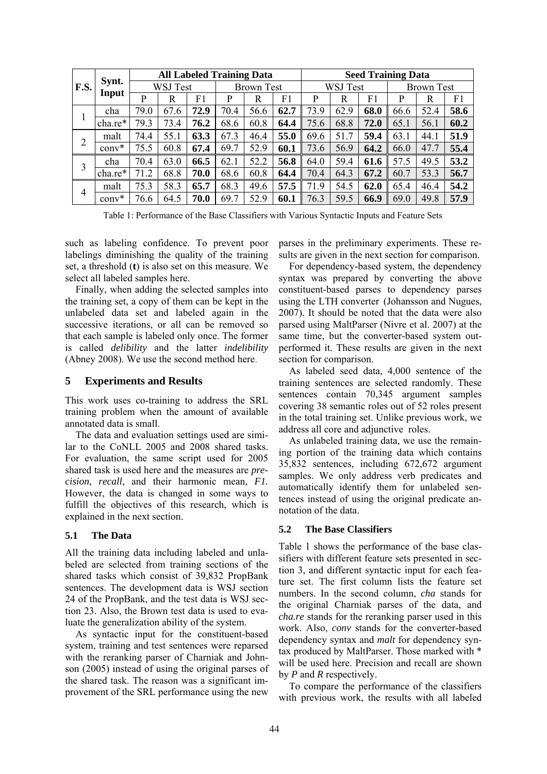| F.S. |                | <b>All Labeled Training Data</b> |      |      |                   |      |      |          | <b>Seed Training Data</b> |      |                   |      |      |
|------|----------------|----------------------------------|------|------|-------------------|------|------|----------|---------------------------|------|-------------------|------|------|
|      | Synt.<br>Input | WSJ Test                         |      |      | <b>Brown Test</b> |      |      | WSJ Test |                           |      | <b>Brown Test</b> |      |      |
|      |                | P                                | R    | F1   | P                 | R    | F1   | P        | R                         | F1   | P                 | R    | F1   |
|      | cha            | 79.0                             | 67.6 | 72.9 | 70.4              | 56.6 | 62.7 | 73.9     | 62.9                      | 68.0 | 66.6              | 52.4 | 58.6 |
|      | cha.re*        | 79.3                             | 73.4 | 76.2 | 68.6              | 60.8 | 64.4 | 75.6     | 68.8                      | 72.0 | 65.1              | 56.1 | 60.2 |
| 2    | malt           | 74.4                             | 55.1 | 63.3 | 67.3              | 46.4 | 55.0 | 69.6     | 51.7                      | 59.4 | 63.1              | 44.1 | 51.9 |
|      | $conv^*$       | 75.5                             | 60.8 | 67.4 | 69.7              | 52.9 | 60.1 | 73.6     | 56.9                      | 64.2 | 66.0              | 47.7 | 55.4 |
| 3    | cha            | 70.4                             | 63.0 | 66.5 | 62.1              | 52.2 | 56.8 | 64.0     | 59.4                      | 61.6 | 57.5              | 49.5 | 53.2 |
|      | cha.re*        | 71.2                             | 68.8 | 70.0 | 68.6              | 60.8 | 64.4 | 70.4     | 64.3                      | 67.2 | 60.7              | 53.3 | 56.7 |
| 4    | malt           | 75.3                             | 58.3 | 65.7 | 68.3              | 49.6 | 57.5 | 71<br>.9 | 54.5                      | 62.0 | 65.4              | 46.4 | 54.2 |
|      | $conv^*$       | 76.6                             | 64.5 | 70.0 | 69.7              | 52.9 | 60.1 | 76.3     | 59.5                      | 66.9 | 69.0              | 49.8 | 57.9 |

Table 1: Performance of the Base Classifiers with Various Syntactic Inputs and Feature Sets

such as labeling confidence. To prevent poor labelings diminishing the quality of the training set, a threshold (**t**) is also set on this measure. We select all labeled samples here.

Finally, when adding the selected samples into the training set, a copy of them can be kept in the unlabeled data set and labeled again in the successive iterations, or all can be removed so that each sample is labeled only once. The former is called *delibility* and the latter *indelibility* (Abney 2008). We use the second method here.

#### **5 Experiments and Results**

This work uses co-training to address the SRL training problem when the amount of available annotated data is small.

The data and evaluation settings used are similar to the CoNLL 2005 and 2008 shared tasks. For evaluation, the same script used for 2005 shared task is used here and the measures are *precision*, *recall*, and their harmonic mean, *F1.*  However, the data is changed in some ways to fulfill the objectives of this research, which is explained in the next section.

#### **5.1 The Data**

All the training data including labeled and unlabeled are selected from training sections of the shared tasks which consist of 39,832 PropBank sentences. The development data is WSJ section 24 of the PropBank, and the test data is WSJ section 23. Also, the Brown test data is used to evaluate the generalization ability of the system.

As syntactic input for the constituent-based system, training and test sentences were reparsed with the reranking parser of Charniak and Johnson (2005) instead of using the original parses of the shared task. The reason was a significant improvement of the SRL performance using the new

parses in the preliminary experiments. These results are given in the next section for comparison.

For dependency-based system, the dependency syntax was prepared by converting the above constituent-based parses to dependency parses using the LTH converter (Johansson and Nugues, 2007). It should be noted that the data were also parsed using MaltParser (Nivre et al. 2007) at the same time, but the converter-based system outperformed it. These results are given in the next section for comparison.

As labeled seed data, 4,000 sentence of the training sentences are selected randomly. These sentences contain 70,345 argument samples covering 38 semantic roles out of 52 roles present in the total training set. Unlike previous work, we address all core and adjunctive roles.

As unlabeled training data, we use the remaining portion of the training data which contains 35,832 sentences, including 672,672 argument samples. We only address verb predicates and automatically identify them for unlabeled sentences instead of using the original predicate annotation of the data.

#### **5.2 The Base Classifiers**

Table 1 shows the performance of the base classifiers with different feature sets presented in section 3, and different syntactic input for each feature set. The first column lists the feature set numbers. In the second column, *cha* stands for the original Charniak parses of the data, and *cha.re* stands for the reranking parser used in this work. Also, *conv* stands for the converter-based dependency syntax and *malt* for dependency syntax produced by MaltParser. Those marked with \* will be used here. Precision and recall are shown by *P* and *R* respectively.

To compare the performance of the classifiers with previous work, the results with all labeled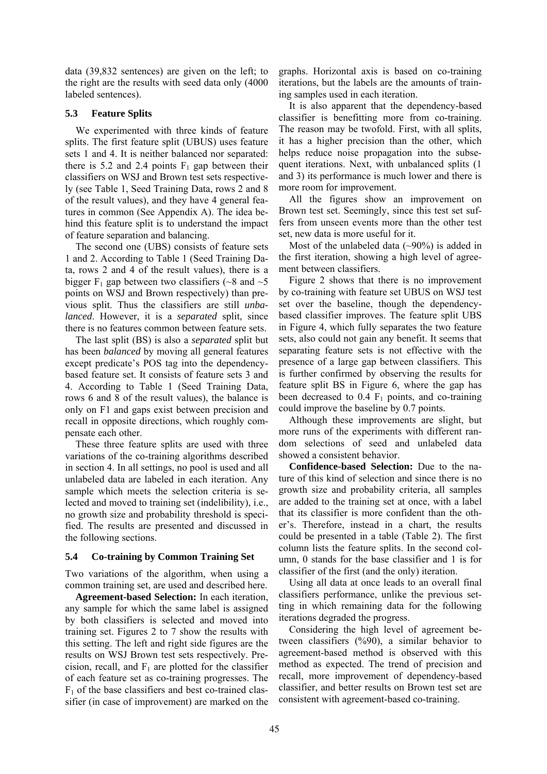data (39,832 sentences) are given on the left; to the right are the results with seed data only (4000 labeled sentences).

### **5.3 Feature Splits**

We experimented with three kinds of feature splits. The first feature split (UBUS) uses feature sets 1 and 4. It is neither balanced nor separated: there is 5.2 and 2.4 points  $F_1$  gap between their classifiers on WSJ and Brown test sets respectively (see Table 1, Seed Training Data, rows 2 and 8 of the result values), and they have 4 general features in common (See Appendix A). The idea behind this feature split is to understand the impact of feature separation and balancing.

The second one (UBS) consists of feature sets 1 and 2. According to Table 1 (Seed Training Data, rows 2 and 4 of the result values), there is a bigger  $F_1$  gap between two classifiers (~8 and ~5 points on WSJ and Brown respectively) than previous split. Thus the classifiers are still *unbalanced*. However, it is a *separated* split, since there is no features common between feature sets.

The last split (BS) is also a *separated* split but has been *balanced* by moving all general features except predicate's POS tag into the dependencybased feature set. It consists of feature sets 3 and 4. According to Table 1 (Seed Training Data, rows 6 and 8 of the result values), the balance is only on F1 and gaps exist between precision and recall in opposite directions, which roughly compensate each other.

These three feature splits are used with three variations of the co-training algorithms described in section 4. In all settings, no pool is used and all unlabeled data are labeled in each iteration. Any sample which meets the selection criteria is selected and moved to training set (indelibility), i.e., no growth size and probability threshold is specified. The results are presented and discussed in the following sections.

# **5.4 Co-training by Common Training Set**

Two variations of the algorithm, when using a common training set, are used and described here.

**Agreement-based Selection:** In each iteration, any sample for which the same label is assigned by both classifiers is selected and moved into training set. Figures 2 to 7 show the results with this setting. The left and right side figures are the results on WSJ Brown test sets respectively. Precision, recall, and  $F_1$  are plotted for the classifier of each feature set as co-training progresses. The  $F<sub>1</sub>$  of the base classifiers and best co-trained classifier (in case of improvement) are marked on the graphs. Horizontal axis is based on co-training iterations, but the labels are the amounts of training samples used in each iteration.

It is also apparent that the dependency-based classifier is benefitting more from co-training. The reason may be twofold. First, with all splits, it has a higher precision than the other, which helps reduce noise propagation into the subsequent iterations. Next, with unbalanced splits (1 and 3) its performance is much lower and there is more room for improvement.

All the figures show an improvement on Brown test set. Seemingly, since this test set suffers from unseen events more than the other test set, new data is more useful for it.

Most of the unlabeled data  $(\sim 90\%)$  is added in the first iteration, showing a high level of agreement between classifiers.

Figure 2 shows that there is no improvement by co-training with feature set UBUS on WSJ test set over the baseline, though the dependencybased classifier improves. The feature split UBS in Figure 4, which fully separates the two feature sets, also could not gain any benefit. It seems that separating feature sets is not effective with the presence of a large gap between classifiers. This is further confirmed by observing the results for feature split BS in Figure 6, where the gap has been decreased to  $0.4$   $F_1$  points, and co-training could improve the baseline by 0.7 points.

Although these improvements are slight, but more runs of the experiments with different random selections of seed and unlabeled data showed a consistent behavior.

**Confidence-based Selection:** Due to the nature of this kind of selection and since there is no growth size and probability criteria, all samples are added to the training set at once, with a label that its classifier is more confident than the other's. Therefore, instead in a chart, the results could be presented in a table (Table 2). The first column lists the feature splits. In the second column, 0 stands for the base classifier and 1 is for classifier of the first (and the only) iteration.

Using all data at once leads to an overall final classifiers performance, unlike the previous setting in which remaining data for the following iterations degraded the progress.

Considering the high level of agreement between classifiers (%90), a similar behavior to agreement-based method is observed with this method as expected. The trend of precision and recall, more improvement of dependency-based classifier, and better results on Brown test set are consistent with agreement-based co-training.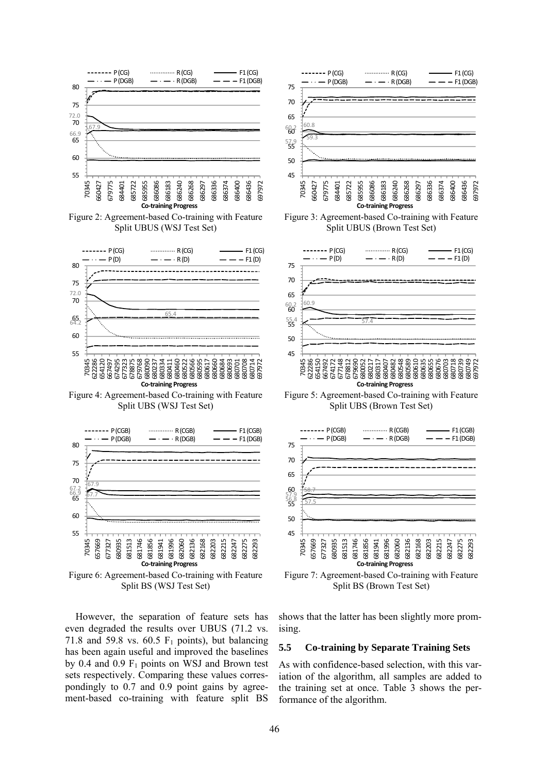

Figure 2: Agreement-based Co-training with Feature Split UBUS (WSJ Test Set)



Figure 4: Agreement-based Co-training with Feature Split UBS (WSJ Test Set)



Figure 6: Agreement-based Co-training with Feature Split BS (WSJ Test Set)

However, the separation of feature sets has even degraded the results over UBUS (71.2 vs. 71.8 and 59.8 vs. 60.5  $F_1$  points), but balancing has been again useful and improved the baselines by 0.4 and 0.9  $F_1$  points on WSJ and Brown test sets respectively. Comparing these values correspondingly to 0.7 and 0.9 point gains by agreement-based co-training with feature split BS



Figure 3: Agreement-based Co-training with Feature Split UBUS (Brown Test Set)



Figure 5: Agreement-based Co-training with Feature Split UBS (Brown Test Set)



Figure 7: Agreement-based Co-training with Feature Split BS (Brown Test Set)

shows that the latter has been slightly more promising.

#### **5.5 Co-training by Separate Training Sets**

As with confidence-based selection, with this variation of the algorithm, all samples are added to the training set at once. Table 3 shows the performance of the algorithm.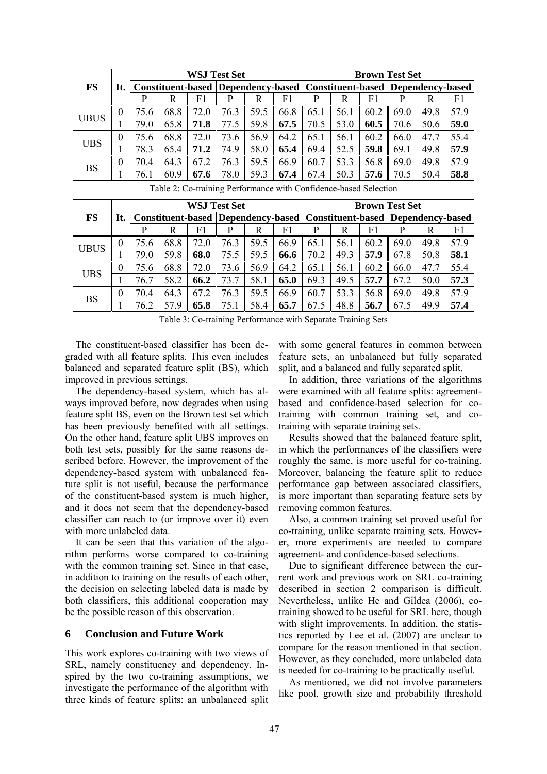| <b>FS</b>   | It.          |      |      |      | <b>WSJ Test Set</b>                                                          |      | <b>Brown Test Set</b> |      |      |      |      |      |      |
|-------------|--------------|------|------|------|------------------------------------------------------------------------------|------|-----------------------|------|------|------|------|------|------|
|             |              |      |      |      | <b>Constituent-based Dependency-based Constituent-based Dependency-based</b> |      |                       |      |      |      |      |      |      |
|             |              | р    | R    | F1   | P                                                                            | R    | F1                    | P    | R    | F1   | P    | R    | F1   |
| <b>UBUS</b> | $\mathbf{0}$ | 75.6 | 68.8 | 72.0 | 76.3                                                                         | 59.5 | 66.8                  | 65.1 | 56.1 | 60.2 | 69.0 | 49.8 | 57.9 |
|             |              | 79.0 | 65.8 | 71.8 | 77.5                                                                         | 59.8 | 67.5                  | 70.5 | 53.0 | 60.5 | 70.6 | 50.6 | 59.0 |
| <b>UBS</b>  | $\theta$     | 75.6 | 68.8 | 72.0 | 73.6                                                                         | 56.9 | 64.2                  | 65.1 | 56.1 | 60.2 | 66.0 | 47.7 | 55.4 |
|             |              | 78.3 | 65.4 | 71.2 | 74.9                                                                         | 58.0 | 65.4                  | 69.4 | 52.5 | 59.8 | 69.1 | 49.8 | 57.9 |
| <b>BS</b>   | $\theta$     | 70.4 | 64.3 | 67.2 | 76.3                                                                         | 59.5 | 66.9                  | 60.7 | 53.3 | 56.8 | 69.0 | 49.8 | 57.9 |
|             |              | 76.1 | 60.9 | 67.6 | 78.0                                                                         | 59.3 | 67.4                  | 67.4 | 50.3 | 57.6 | 70.5 | 50.4 | 58.8 |

Table 2: Co-training Performance with Confidence-based Selection

|             | It.      | <b>WSJ Test Set</b> |      |      |                                                                              |      |      |      | <b>Brown Test Set</b> |      |      |      |      |  |  |
|-------------|----------|---------------------|------|------|------------------------------------------------------------------------------|------|------|------|-----------------------|------|------|------|------|--|--|
| <b>FS</b>   |          |                     |      |      | <b>Constituent-based Dependency-based Constituent-based Dependency-based</b> |      |      |      |                       |      |      |      |      |  |  |
|             |          | р                   | R    | F1   | р                                                                            | R    | F1   | P    | R                     | F1   |      | R    | F1   |  |  |
| <b>UBUS</b> | 0        | 75.6                | 68.8 | 72.0 | 76.3                                                                         | 59.5 | 66.9 | 65.1 | 56.1                  | 60.2 | 69.0 | 49.8 | 57.9 |  |  |
|             |          | 79.0                | 59.8 | 68.0 | 75.5                                                                         | 59.5 | 66.6 | 70.2 | 49.3                  | 57.9 | 67.8 | 50.8 | 58.1 |  |  |
| <b>UBS</b>  | 0        | 75.6                | 68.8 | 72.0 | 73.6                                                                         | 56.9 | 64.2 | 65.1 | 56.1                  | 60.2 | 66.0 | 47.7 | 55.4 |  |  |
|             |          | 76.7                | 58.2 | 66.2 | 73.7                                                                         | 58.1 | 65.0 | 69.3 | 49.5                  | 57.7 | 67.2 | 50.0 | 57.3 |  |  |
| <b>BS</b>   | $\theta$ | 70.4                | 64.3 | 67.2 | 76.3                                                                         | 59.5 | 66.9 | 60.7 | 53.3                  | 56.8 | 69.0 | 49.8 | 57.9 |  |  |
|             |          | 76.2                | 579  | 65.8 |                                                                              | 58.4 | 65.7 | 67.5 | 48.8                  | 56.7 | 67.5 | 49.9 | 57.4 |  |  |

Table 3: Co-training Performance with Separate Training Sets

The constituent-based classifier has been degraded with all feature splits. This even includes balanced and separated feature split (BS), which improved in previous settings.

The dependency-based system, which has always improved before, now degrades when using feature split BS, even on the Brown test set which has been previously benefited with all settings. On the other hand, feature split UBS improves on both test sets, possibly for the same reasons described before. However, the improvement of the dependency-based system with unbalanced feature split is not useful, because the performance of the constituent-based system is much higher, and it does not seem that the dependency-based classifier can reach to (or improve over it) even with more unlabeled data.

It can be seen that this variation of the algorithm performs worse compared to co-training with the common training set. Since in that case, in addition to training on the results of each other, the decision on selecting labeled data is made by both classifiers, this additional cooperation may be the possible reason of this observation.

# **6 Conclusion and Future Work**

This work explores co-training with two views of SRL, namely constituency and dependency. Inspired by the two co-training assumptions, we investigate the performance of the algorithm with three kinds of feature splits: an unbalanced split with some general features in common between feature sets, an unbalanced but fully separated split, and a balanced and fully separated split.

In addition, three variations of the algorithms were examined with all feature splits: agreementbased and confidence-based selection for cotraining with common training set, and cotraining with separate training sets.

Results showed that the balanced feature split, in which the performances of the classifiers were roughly the same, is more useful for co-training. Moreover, balancing the feature split to reduce performance gap between associated classifiers, is more important than separating feature sets by removing common features.

Also, a common training set proved useful for co-training, unlike separate training sets. However, more experiments are needed to compare agreement- and confidence-based selections.

Due to significant difference between the current work and previous work on SRL co-training described in section 2 comparison is difficult. Nevertheless, unlike He and Gildea (2006), cotraining showed to be useful for SRL here, though with slight improvements. In addition, the statistics reported by Lee et al. (2007) are unclear to compare for the reason mentioned in that section. However, as they concluded, more unlabeled data is needed for co-training to be practically useful.

As mentioned, we did not involve parameters like pool, growth size and probability threshold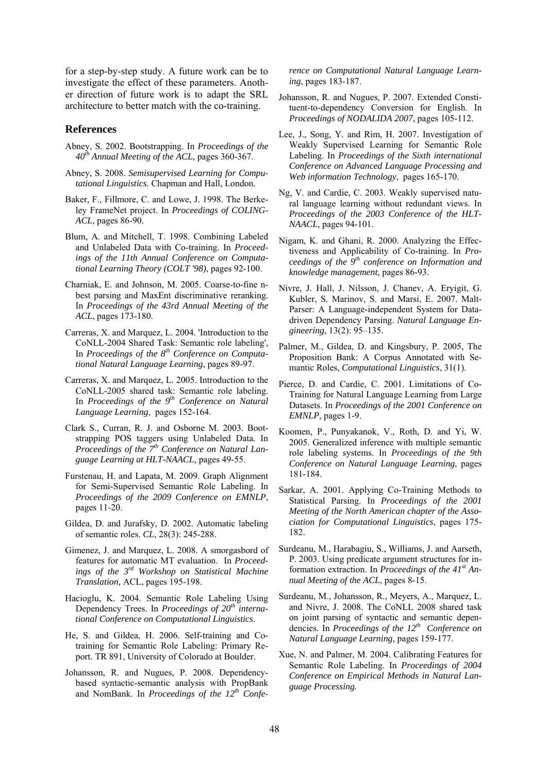for a step-by-step study. A future work can be to investigate the effect of these parameters. Another direction of future work is to adapt the SRL architecture to better match with the co-training.

#### **References**

- Abney, S. 2002. Bootstrapping. In *Proceedings of the 40th Annual Meeting of the ACL*, pages 360-367.
- Abney, S. 2008. *Semisupervised Learning for Computational Linguistics.* Chapman and Hall, London.
- Baker, F., Fillmore, C. and Lowe, J. 1998. The Berkeley FrameNet project. In *Proceedings of COLING-ACL*, pages 86-90.
- Blum, A. and Mitchell, T. 1998. Combining Labeled and Unlabeled Data with Co-training. In *Proceedings of the 11th Annual Conference on Computational Learning Theory (COLT '98)*, pages 92-100.
- Charniak, E. and Johnson, M. 2005. Coarse-to-fine nbest parsing and MaxEnt discriminative reranking. In *Proceedings of the 43rd Annual Meeting of the ACL*, pages 173-180.
- Carreras, X. and Marquez, L. 2004. 'Introduction to the CoNLL-2004 Shared Task: Semantic role labeling', In *Proceedings of the 8th Conference on Computational Natural Language Learning*, pages 89-97.
- Carreras, X. and Marquez, L. 2005. Introduction to the CoNLL-2005 shared task: Semantic role labeling. In *Proceedings of the 9th Conference on Natural Language Learning*, pages 152-164.
- Clark S., Curran, R. J. and Osborne M. 2003. Bootstrapping POS taggers using Unlabeled Data. In *Proceedings of the 7th Conference on Natural Language Learning at HLT-NAACL,* pages 49-55.
- Furstenau, H. and Lapata, M. 2009. Graph Alignment for Semi-Supervised Semantic Role Labeling. In *Proceedings of the 2009 Conference on EMNLP*, pages 11-20.
- Gildea, D. and Jurafsky, D. 2002. Automatic labeling of semantic roles. *CL*, 28(3): 245-288.
- Gimenez, J. and Marquez, L. 2008. A smorgasbord of features for automatic MT evaluation. In *Proceedings of the 3rd Workshop on Statistical Machine Translation,* ACL, pages 195-198.
- Hacioglu, K. 2004. Semantic Role Labeling Using Dependency Trees. In *Proceedings of 20th international Conference on Computational Linguistics*.
- He, S. and Gildea, H. 2006. Self-training and Cotraining for Semantic Role Labeling: Primary Report. TR 891, University of Colorado at Boulder.
- Johansson, R. and Nugues, P. 2008. Dependencybased syntactic-semantic analysis with PropBank and NomBank. In *Proceedings of the 12th Confe-*

*rence on Computational Natural Language Learning*, pages 183-187.

- Johansson, R. and Nugues, P. 2007. Extended Constituent-to-dependency Conversion for English. In *Proceedings of NODALIDA 2007*, pages 105-112.
- Lee, J., Song, Y. and Rim, H. 2007. Investigation of Weakly Supervised Learning for Semantic Role Labeling. In *Proceedings of the Sixth international Conference on Advanced Language Processing and Web information Technology*, pages 165-170.
- Ng, V. and Cardie, C. 2003. Weakly supervised natural language learning without redundant views. In *Proceedings of the 2003 Conference of the HLT-NAACL,* pages 94-101.
- Nigam, K. and Ghani, R. 2000. Analyzing the Effectiveness and Applicability of Co-training. In *Proceedings of the 9th conference on Information and knowledge management,* pages 86-93.
- Nivre, J. Hall, J. Nilsson, J. Chanev, A. Eryigit, G. Kubler, S. Marinov, S. and Marsi, E. 2007. Malt-Parser: A Language-independent System for Datadriven Dependency Parsing. *Natural Language Engineering*, 13(2): 95–135.
- Palmer, M., Gildea, D. and Kingsbury, P. 2005, The Proposition Bank: A Corpus Annotated with Semantic Roles, *Computational Linguistics*, 31(1).
- Pierce, D. and Cardie, C. 2001. Limitations of Co-Training for Natural Language Learning from Large Datasets. In *Proceedings of the 2001 Conference on EMNLP*, pages 1-9.
- Koomen, P., Punyakanok, V., Roth, D. and Yi, W. 2005. Generalized inference with multiple semantic role labeling systems. In *Proceedings of the 9th Conference on Natural Language Learning*, pages 181-184.
- Sarkar, A. 2001. Applying Co-Training Methods to Statistical Parsing. In *Proceedings of the 2001 Meeting of the North American chapter of the Association for Computational Linguistics*, pages 175- 182.
- Surdeanu, M., Harabagiu, S., Williams, J. and Aarseth, P. 2003. Using predicate argument structures for information extraction. In *Proceedings of the 41st Annual Meeting of the ACL*, pages 8-15.
- Surdeanu, M., Johansson, R., Meyers, A., Marquez, L. and Nivre, J. 2008. The CoNLL 2008 shared task on joint parsing of syntactic and semantic dependencies. In *Proceedings of the 12th Conference on Natural Language Learning*, pages 159-177.
- Xue, N. and Palmer, M. 2004. Calibrating Features for Semantic Role Labeling. In *Proceedings of 2004 Conference on Empirical Methods in Natural Language Processing.*